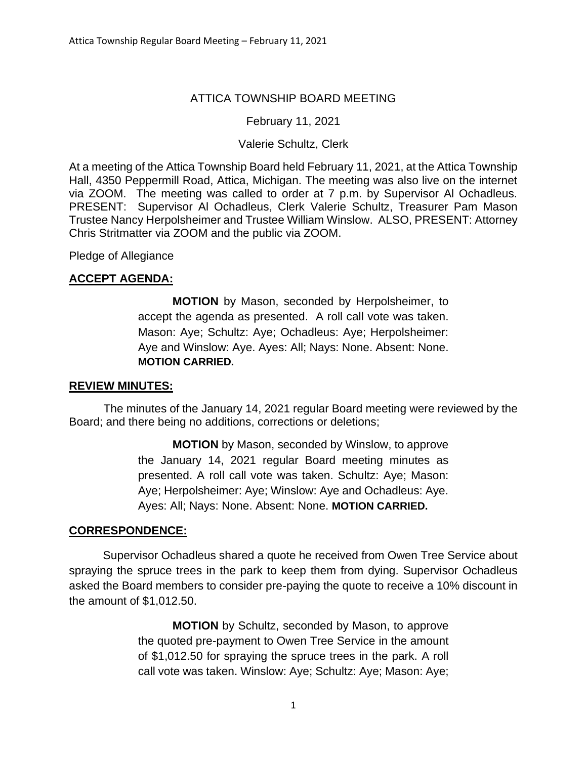# ATTICA TOWNSHIP BOARD MEETING

#### February 11, 2021

#### Valerie Schultz, Clerk

At a meeting of the Attica Township Board held February 11, 2021, at the Attica Township Hall, 4350 Peppermill Road, Attica, Michigan. The meeting was also live on the internet via ZOOM. The meeting was called to order at 7 p.m. by Supervisor Al Ochadleus. PRESENT: Supervisor Al Ochadleus, Clerk Valerie Schultz, Treasurer Pam Mason Trustee Nancy Herpolsheimer and Trustee William Winslow. ALSO, PRESENT: Attorney Chris Stritmatter via ZOOM and the public via ZOOM.

Pledge of Allegiance

# **ACCEPT AGENDA:**

**MOTION** by Mason, seconded by Herpolsheimer, to accept the agenda as presented. A roll call vote was taken. Mason: Aye; Schultz: Aye; Ochadleus: Aye; Herpolsheimer: Aye and Winslow: Aye. Ayes: All; Nays: None. Absent: None. **MOTION CARRIED.**

#### **REVIEW MINUTES:**

The minutes of the January 14, 2021 regular Board meeting were reviewed by the Board; and there being no additions, corrections or deletions;

> **MOTION** by Mason, seconded by Winslow, to approve the January 14, 2021 regular Board meeting minutes as presented. A roll call vote was taken. Schultz: Aye; Mason: Aye; Herpolsheimer: Aye; Winslow: Aye and Ochadleus: Aye. Ayes: All; Nays: None. Absent: None. **MOTION CARRIED.**

#### **CORRESPONDENCE:**

Supervisor Ochadleus shared a quote he received from Owen Tree Service about spraying the spruce trees in the park to keep them from dying. Supervisor Ochadleus asked the Board members to consider pre-paying the quote to receive a 10% discount in the amount of \$1,012.50.

> **MOTION** by Schultz, seconded by Mason, to approve the quoted pre-payment to Owen Tree Service in the amount of \$1,012.50 for spraying the spruce trees in the park. A roll call vote was taken. Winslow: Aye; Schultz: Aye; Mason: Aye;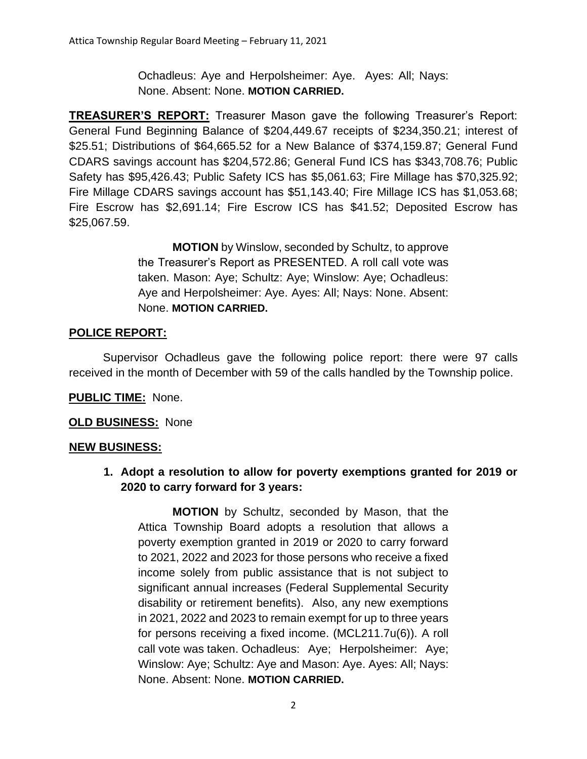Ochadleus: Aye and Herpolsheimer: Aye. Ayes: All; Nays: None. Absent: None. **MOTION CARRIED.**

**TREASURER'S REPORT:** Treasurer Mason gave the following Treasurer's Report: General Fund Beginning Balance of \$204,449.67 receipts of \$234,350.21; interest of \$25.51; Distributions of \$64,665.52 for a New Balance of \$374,159.87; General Fund CDARS savings account has \$204,572.86; General Fund ICS has \$343,708.76; Public Safety has \$95,426.43; Public Safety ICS has \$5,061.63; Fire Millage has \$70,325.92; Fire Millage CDARS savings account has \$51,143.40; Fire Millage ICS has \$1,053.68; Fire Escrow has \$2,691.14; Fire Escrow ICS has \$41.52; Deposited Escrow has \$25,067.59.

> **MOTION** by Winslow, seconded by Schultz, to approve the Treasurer's Report as PRESENTED. A roll call vote was taken. Mason: Aye; Schultz: Aye; Winslow: Aye; Ochadleus: Aye and Herpolsheimer: Aye. Ayes: All; Nays: None. Absent: None. **MOTION CARRIED.**

# **POLICE REPORT:**

Supervisor Ochadleus gave the following police report: there were 97 calls received in the month of December with 59 of the calls handled by the Township police.

# **PUBLIC TIME:** None.

# **OLD BUSINESS:** None

# **NEW BUSINESS:**

**1. Adopt a resolution to allow for poverty exemptions granted for 2019 or 2020 to carry forward for 3 years:**

**MOTION** by Schultz, seconded by Mason, that the Attica Township Board adopts a resolution that allows a poverty exemption granted in 2019 or 2020 to carry forward to 2021, 2022 and 2023 for those persons who receive a fixed income solely from public assistance that is not subject to significant annual increases (Federal Supplemental Security disability or retirement benefits). Also, any new exemptions in 2021, 2022 and 2023 to remain exempt for up to three years for persons receiving a fixed income. (MCL211.7u(6)). A roll call vote was taken. Ochadleus: Aye; Herpolsheimer: Aye; Winslow: Aye; Schultz: Aye and Mason: Aye. Ayes: All; Nays: None. Absent: None. **MOTION CARRIED.**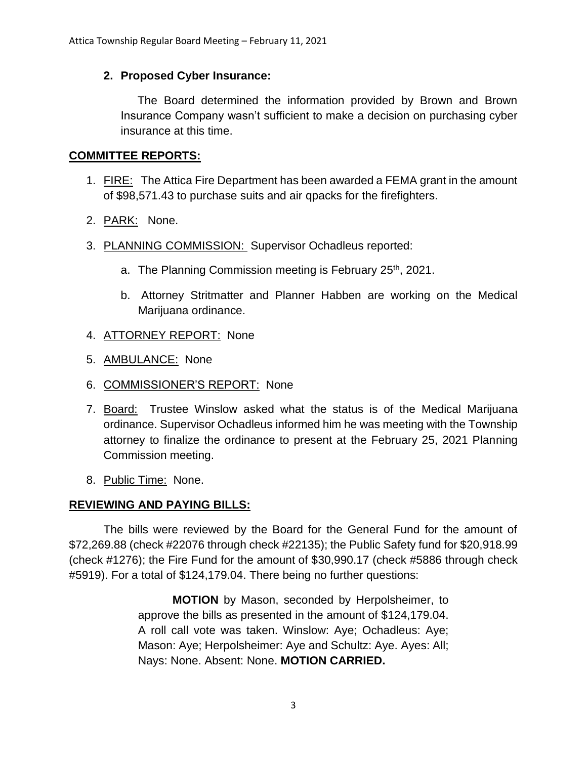#### **2. Proposed Cyber Insurance:**

The Board determined the information provided by Brown and Brown Insurance Company wasn't sufficient to make a decision on purchasing cyber insurance at this time.

#### **COMMITTEE REPORTS:**

- 1. FIRE: The Attica Fire Department has been awarded a FEMA grant in the amount of \$98,571.43 to purchase suits and air qpacks for the firefighters.
- 2. PARK: None.
- 3. PLANNING COMMISSION: Supervisor Ochadleus reported:
	- a. The Planning Commission meeting is February 25<sup>th</sup>, 2021.
	- b. Attorney Stritmatter and Planner Habben are working on the Medical Marijuana ordinance.
- 4. ATTORNEY REPORT: None
- 5. AMBULANCE: None
- 6. COMMISSIONER'S REPORT: None
- 7. Board: Trustee Winslow asked what the status is of the Medical Marijuana ordinance. Supervisor Ochadleus informed him he was meeting with the Township attorney to finalize the ordinance to present at the February 25, 2021 Planning Commission meeting.
- 8. Public Time: None.

# **REVIEWING AND PAYING BILLS:**

The bills were reviewed by the Board for the General Fund for the amount of \$72,269.88 (check #22076 through check #22135); the Public Safety fund for \$20,918.99 (check #1276); the Fire Fund for the amount of \$30,990.17 (check #5886 through check #5919). For a total of \$124,179.04. There being no further questions:

> **MOTION** by Mason, seconded by Herpolsheimer, to approve the bills as presented in the amount of \$124,179.04. A roll call vote was taken. Winslow: Aye; Ochadleus: Aye; Mason: Aye; Herpolsheimer: Aye and Schultz: Aye. Ayes: All; Nays: None. Absent: None. **MOTION CARRIED.**